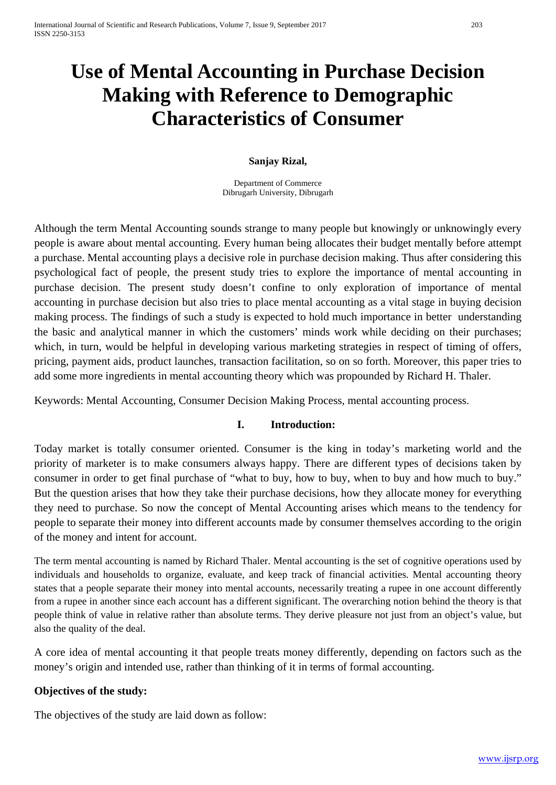# **Use of Mental Accounting in Purchase Decision Making with Reference to Demographic Characteristics of Consumer**

#### **Sanjay Rizal,**

Department of Commerce Dibrugarh University, Dibrugarh

Although the term Mental Accounting sounds strange to many people but knowingly or unknowingly every people is aware about mental accounting. Every human being allocates their budget mentally before attempt a purchase. Mental accounting plays a decisive role in purchase decision making. Thus after considering this psychological fact of people, the present study tries to explore the importance of mental accounting in purchase decision. The present study doesn't confine to only exploration of importance of mental accounting in purchase decision but also tries to place mental accounting as a vital stage in buying decision making process. The findings of such a study is expected to hold much importance in better understanding the basic and analytical manner in which the customers' minds work while deciding on their purchases; which, in turn, would be helpful in developing various marketing strategies in respect of timing of offers, pricing, payment aids, product launches, transaction facilitation, so on so forth. Moreover, this paper tries to add some more ingredients in mental accounting theory which was propounded by Richard H. Thaler.

Keywords: Mental Accounting, Consumer Decision Making Process, mental accounting process.

## **I. Introduction:**

Today market is totally consumer oriented. Consumer is the king in today's marketing world and the priority of marketer is to make consumers always happy. There are different types of decisions taken by consumer in order to get final purchase of "what to buy, how to buy, when to buy and how much to buy." But the question arises that how they take their purchase decisions, how they allocate money for everything they need to purchase. So now the concept of Mental Accounting arises which means to the tendency for people to separate their money into different accounts made by consumer themselves according to the origin of the money and intent for account.

The term mental accounting is named by Richard Thaler. Mental accounting is the set of cognitive operations used by individuals and households to organize, evaluate, and keep track of financial activities. Mental accounting theory states that a people separate their money into mental accounts, necessarily treating a rupee in one account differently from a rupee in another since each account has a different significant. The overarching notion behind the theory is that people think of value in relative rather than absolute terms. They derive pleasure not just from an object's value, but also the quality of the deal.

A core idea of mental accounting it that people treats money differently, depending on factors such as the money's origin and intended use, rather than thinking of it in terms of formal accounting.

## **Objectives of the study:**

The objectives of the study are laid down as follow: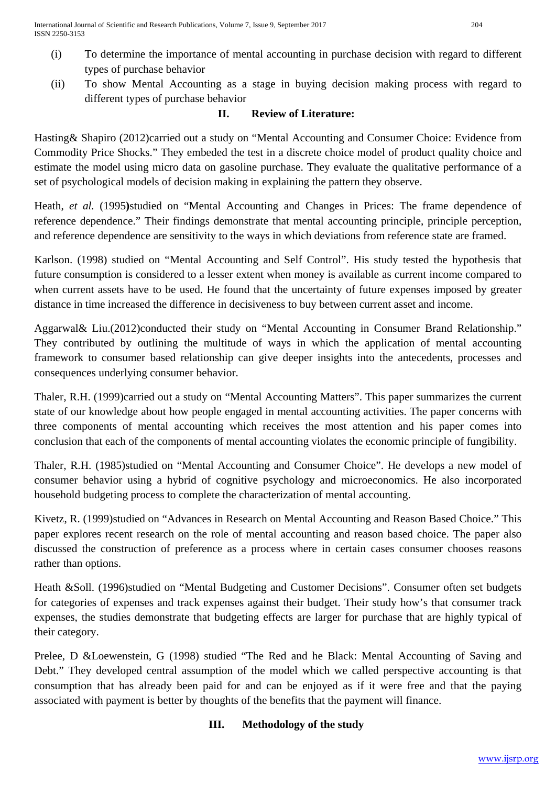- (i) To determine the importance of mental accounting in purchase decision with regard to different types of purchase behavior
- (ii) To show Mental Accounting as a stage in buying decision making process with regard to different types of purchase behavior

## **II. Review of Literature:**

Hasting& Shapiro (2012)carried out a study on "Mental Accounting and Consumer Choice: Evidence from Commodity Price Shocks." They embeded the test in a discrete choice model of product quality choice and estimate the model using micro data on gasoline purchase. They evaluate the qualitative performance of a set of psychological models of decision making in explaining the pattern they observe.

Heath, *et al.* (1995**)**studied on "Mental Accounting and Changes in Prices: The frame dependence of reference dependence." Their findings demonstrate that mental accounting principle, principle perception, and reference dependence are sensitivity to the ways in which deviations from reference state are framed.

Karlson. (1998) studied on "Mental Accounting and Self Control". His study tested the hypothesis that future consumption is considered to a lesser extent when money is available as current income compared to when current assets have to be used. He found that the uncertainty of future expenses imposed by greater distance in time increased the difference in decisiveness to buy between current asset and income.

Aggarwal& Liu.(2012)conducted their study on "Mental Accounting in Consumer Brand Relationship." They contributed by outlining the multitude of ways in which the application of mental accounting framework to consumer based relationship can give deeper insights into the antecedents, processes and consequences underlying consumer behavior.

Thaler, R.H. (1999)carried out a study on "Mental Accounting Matters". This paper summarizes the current state of our knowledge about how people engaged in mental accounting activities. The paper concerns with three components of mental accounting which receives the most attention and his paper comes into conclusion that each of the components of mental accounting violates the economic principle of fungibility.

Thaler, R.H. (1985)studied on "Mental Accounting and Consumer Choice". He develops a new model of consumer behavior using a hybrid of cognitive psychology and microeconomics. He also incorporated household budgeting process to complete the characterization of mental accounting.

Kivetz, R. (1999)studied on "Advances in Research on Mental Accounting and Reason Based Choice." This paper explores recent research on the role of mental accounting and reason based choice. The paper also discussed the construction of preference as a process where in certain cases consumer chooses reasons rather than options.

Heath &Soll. (1996)studied on "Mental Budgeting and Customer Decisions". Consumer often set budgets for categories of expenses and track expenses against their budget. Their study how's that consumer track expenses, the studies demonstrate that budgeting effects are larger for purchase that are highly typical of their category.

Prelee, D &Loewenstein, G (1998) studied "The Red and he Black: Mental Accounting of Saving and Debt." They developed central assumption of the model which we called perspective accounting is that consumption that has already been paid for and can be enjoyed as if it were free and that the paying associated with payment is better by thoughts of the benefits that the payment will finance.

# **III. Methodology of the study**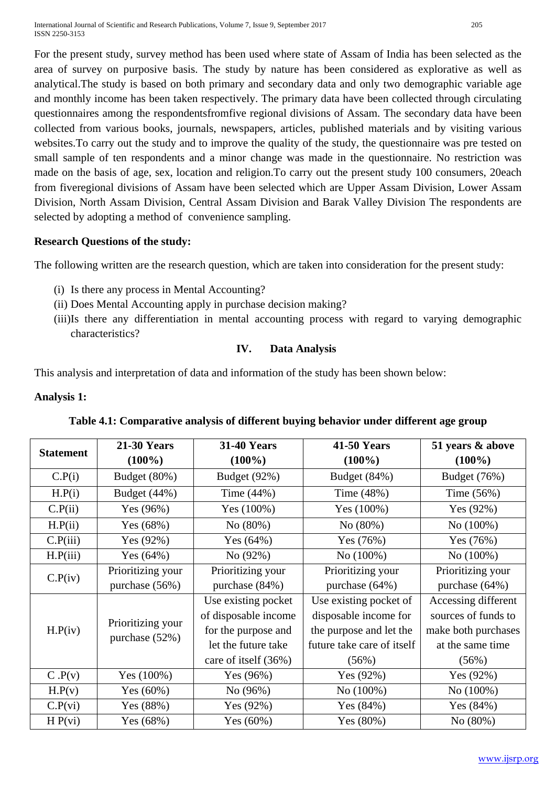For the present study, survey method has been used where state of Assam of India has been selected as the area of survey on purposive basis. The study by nature has been considered as explorative as well as analytical.The study is based on both primary and secondary data and only two demographic variable age and monthly income has been taken respectively. The primary data have been collected through circulating questionnaires among the respondentsfromfive regional divisions of Assam. The secondary data have been collected from various books, journals, newspapers, articles, published materials and by visiting various websites.To carry out the study and to improve the quality of the study, the questionnaire was pre tested on small sample of ten respondents and a minor change was made in the questionnaire. No restriction was made on the basis of age, sex, location and religion.To carry out the present study 100 consumers, 20each from fiveregional divisions of Assam have been selected which are Upper Assam Division, Lower Assam Division, North Assam Division, Central Assam Division and Barak Valley Division The respondents are selected by adopting a method of convenience sampling.

## **Research Questions of the study:**

The following written are the research question, which are taken into consideration for the present study:

- (i) Is there any process in Mental Accounting?
- (ii) Does Mental Accounting apply in purchase decision making?
- (iii)Is there any differentiation in mental accounting process with regard to varying demographic characteristics?

# **IV. Data Analysis**

This analysis and interpretation of data and information of the study has been shown below:

## **Analysis 1:**

| <b>Statement</b> | <b>21-30 Years</b>                  | <b>31-40 Years</b>   | <b>41-50 Years</b>         | 51 years & above    |
|------------------|-------------------------------------|----------------------|----------------------------|---------------------|
|                  | $(100\%)$                           | $(100\%)$            | $(100\%)$                  | $(100\%)$           |
| C.P(i)           | Budget (80%)                        | Budget (92%)         | Budget (84%)               | Budget (76%)        |
| H.P(i)           | Budget (44%)                        | Time $(44\%)$        | Time (48%)                 | Time $(56\%)$       |
| C.P(ii)          | Yes $(96%)$                         | Yes $(100\%)$        | Yes $(100\%)$              | Yes $(92%)$         |
| H.P(ii)          | Yes $(68%)$                         | No (80%)             | No (80%)                   | No (100%)           |
| C.P(iii)         | Yes $(92%)$                         | Yes $(64%)$          | Yes (76%)                  | Yes (76%)           |
| H.P(iii)         | Yes $(64%)$                         | No $(92%)$           | No (100%)                  | No (100%)           |
| C.P(iv)          | Prioritizing your                   | Prioritizing your    | Prioritizing your          | Prioritizing your   |
|                  | purchase (56%)                      | purchase (84%)       | purchase $(64%)$           | purchase (64%)      |
|                  | Prioritizing your<br>purchase (52%) | Use existing pocket  | Use existing pocket of     | Accessing different |
|                  |                                     | of disposable income | disposable income for      | sources of funds to |
| H.P(iv)          |                                     | for the purpose and  | the purpose and let the    | make both purchases |
|                  |                                     | let the future take  | future take care of itself | at the same time    |
|                  |                                     | care of itself (36%) | (56%)                      | (56%)               |
| C.P(v)           | Yes (100%)                          | Yes (96%)            | Yes $(92%)$                | Yes (92%)           |
| H.P(v)           | Yes (60%)                           | No (96%)             | No(100%)                   | No (100%)           |
| C.P(vi)          | Yes (88%)                           | Yes $(92%)$          | Yes (84%)                  | Yes $(84%)$         |
| H P(vi)          | Yes $(68%)$                         | Yes $(60%)$          | Yes (80%)                  | No (80%)            |

# **Table 4.1: Comparative analysis of different buying behavior under different age group**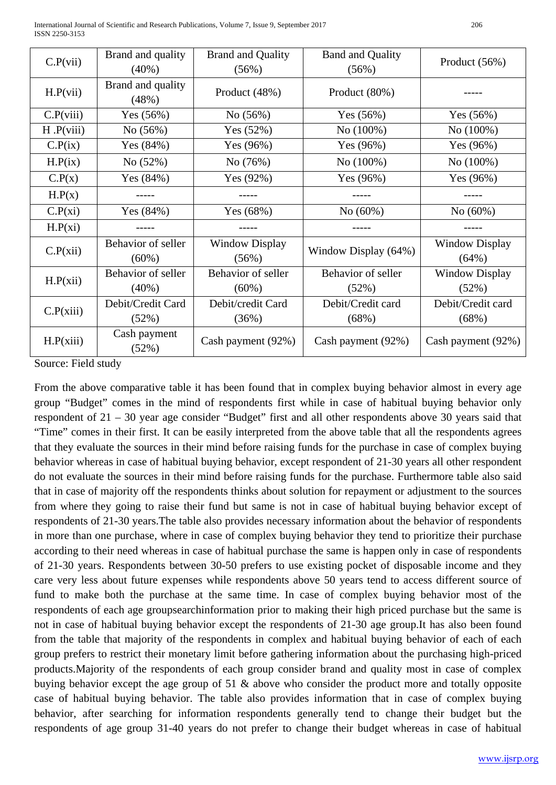International Journal of Scientific and Research Publications, Volume 7, Issue 9, September 2017 206 ISSN 2250-3153

| C.P(vii)  | Brand and quality<br>$(40\%)$  | <b>Brand and Quality</b><br>(56%) | <b>Band and Quality</b><br>(56%) | Product (56%)                  |
|-----------|--------------------------------|-----------------------------------|----------------------------------|--------------------------------|
| H.P(vii)  | Brand and quality<br>(48%)     | Product (48%)                     | Product $(80\%)$                 |                                |
| C.P(viii) | Yes $(56%)$                    | No (56%)                          | Yes $(56%)$                      | Yes $(56%)$                    |
| H.P(viii) | No (56%)                       | Yes $(52%)$                       | $No(100\%)$                      | $No(100\%)$                    |
| C.P(ix)   | Yes (84%)                      | Yes $(96%)$                       | Yes $(96%)$                      | Yes $(96%)$                    |
| H.P(ix)   | No (52%)                       | No (76%)                          | $No(100\%)$                      | $No(100\%)$                    |
| C.P(x)    | Yes (84%)                      | Yes $(92%)$                       | Yes $(96%)$                      | Yes $(96%)$                    |
| H.P(x)    |                                |                                   |                                  |                                |
| C.P(xi)   | Yes $(84%)$                    | Yes $(68%)$                       | No $(60%)$                       | No (60%)                       |
| H.P(xi)   |                                |                                   |                                  |                                |
| C.P(xii)  | Behavior of seller<br>$(60\%)$ | <b>Window Display</b><br>(56%)    | Window Display (64%)             | <b>Window Display</b><br>(64%) |
| H.P(xii)  | Behavior of seller             | Behavior of seller                | Behavior of seller               | <b>Window Display</b>          |
|           | $(40\%)$                       | $(60\%)$                          | (52%)                            | (52%)                          |
| C.P(xiii) | Debit/Credit Card              | Debit/credit Card                 | Debit/Credit card                | Debit/Credit card              |
|           | (52%)                          | (36%)                             | (68%)                            | (68%)                          |
| H.P(xiii) | Cash payment<br>(52%)          | Cash payment (92%)                | Cash payment (92%)               | Cash payment (92%)             |

Source: Field study

From the above comparative table it has been found that in complex buying behavior almost in every age group "Budget" comes in the mind of respondents first while in case of habitual buying behavior only respondent of 21 – 30 year age consider "Budget" first and all other respondents above 30 years said that "Time" comes in their first. It can be easily interpreted from the above table that all the respondents agrees that they evaluate the sources in their mind before raising funds for the purchase in case of complex buying behavior whereas in case of habitual buying behavior, except respondent of 21-30 years all other respondent do not evaluate the sources in their mind before raising funds for the purchase. Furthermore table also said that in case of majority off the respondents thinks about solution for repayment or adjustment to the sources from where they going to raise their fund but same is not in case of habitual buying behavior except of respondents of 21-30 years.The table also provides necessary information about the behavior of respondents in more than one purchase, where in case of complex buying behavior they tend to prioritize their purchase according to their need whereas in case of habitual purchase the same is happen only in case of respondents of 21-30 years. Respondents between 30-50 prefers to use existing pocket of disposable income and they care very less about future expenses while respondents above 50 years tend to access different source of fund to make both the purchase at the same time. In case of complex buying behavior most of the respondents of each age groupsearchinformation prior to making their high priced purchase but the same is not in case of habitual buying behavior except the respondents of 21-30 age group.It has also been found from the table that majority of the respondents in complex and habitual buying behavior of each of each group prefers to restrict their monetary limit before gathering information about the purchasing high-priced products.Majority of the respondents of each group consider brand and quality most in case of complex buying behavior except the age group of 51 & above who consider the product more and totally opposite case of habitual buying behavior. The table also provides information that in case of complex buying behavior, after searching for information respondents generally tend to change their budget but the respondents of age group 31-40 years do not prefer to change their budget whereas in case of habitual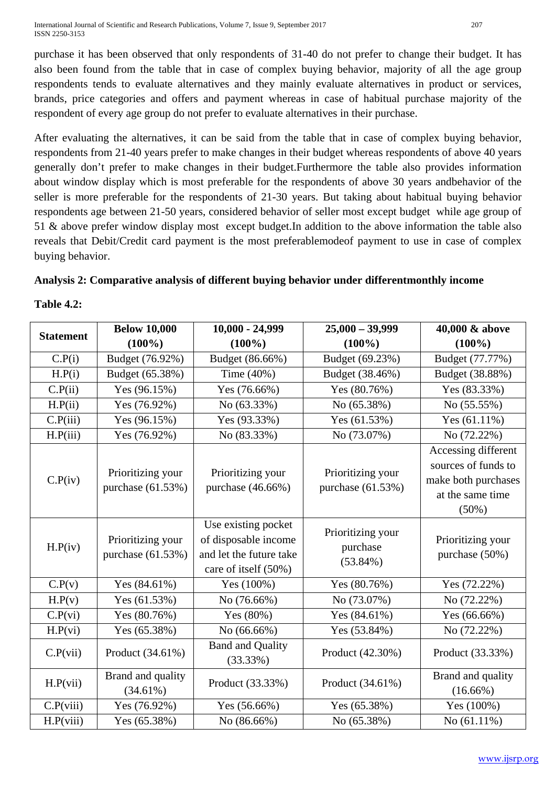purchase it has been observed that only respondents of 31-40 do not prefer to change their budget. It has also been found from the table that in case of complex buying behavior, majority of all the age group respondents tends to evaluate alternatives and they mainly evaluate alternatives in product or services, brands, price categories and offers and payment whereas in case of habitual purchase majority of the respondent of every age group do not prefer to evaluate alternatives in their purchase.

After evaluating the alternatives, it can be said from the table that in case of complex buying behavior, respondents from 21-40 years prefer to make changes in their budget whereas respondents of above 40 years generally don't prefer to make changes in their budget.Furthermore the table also provides information about window display which is most preferable for the respondents of above 30 years andbehavior of the seller is more preferable for the respondents of 21-30 years. But taking about habitual buying behavior respondents age between 21-50 years, considered behavior of seller most except budget while age group of 51 & above prefer window display most except budget.In addition to the above information the table also reveals that Debit/Credit card payment is the most preferablemodeof payment to use in case of complex buying behavior.

|  |  |  |  |  |  | Analysis 2: Comparative analysis of different buying behavior under differentmonthly income |  |
|--|--|--|--|--|--|---------------------------------------------------------------------------------------------|--|
|--|--|--|--|--|--|---------------------------------------------------------------------------------------------|--|

|                  | <b>Below 10,000</b>                       | $10,000 - 24,999$                                                                              | $25,000 - 39,999$                            | 40,000 & above                                                                                 |
|------------------|-------------------------------------------|------------------------------------------------------------------------------------------------|----------------------------------------------|------------------------------------------------------------------------------------------------|
| <b>Statement</b> | $(100\%)$                                 | $(100\%)$                                                                                      | $(100\%)$                                    | $(100\%)$                                                                                      |
| C.P(i)           | Budget (76.92%)                           | Budget (86.66%)                                                                                | Budget (69.23%)                              | Budget (77.77%)                                                                                |
| H.P(i)           | Budget (65.38%)                           | Time (40%)                                                                                     | Budget (38.46%)                              | Budget (38.88%)                                                                                |
| C.P(ii)          | Yes (96.15%)                              | Yes (76.66%)                                                                                   | Yes (80.76%)                                 | Yes (83.33%)                                                                                   |
| H.P(ii)          | Yes (76.92%)                              | No (63.33%)                                                                                    | No (65.38%)                                  | No (55.55%)                                                                                    |
| C.P(iii)         | Yes (96.15%)                              | Yes (93.33%)                                                                                   | Yes $(61.53%)$                               | Yes $(61.11\%)$                                                                                |
| H.P(iii)         | Yes (76.92%)                              | No (83.33%)                                                                                    | No (73.07%)                                  | No (72.22%)                                                                                    |
| C.P(iv)          | Prioritizing your<br>purchase $(61.53\%)$ | Prioritizing your<br>purchase (46.66%)                                                         | Prioritizing your<br>purchase (61.53%)       | Accessing different<br>sources of funds to<br>make both purchases<br>at the same time<br>(50%) |
| H.P(iv)          | Prioritizing your<br>purchase $(61.53%)$  | Use existing pocket<br>of disposable income<br>and let the future take<br>care of itself (50%) | Prioritizing your<br>purchase<br>$(53.84\%)$ | Prioritizing your<br>purchase (50%)                                                            |
| C.P(v)           | Yes $(84.61\%)$                           | Yes (100%)                                                                                     | Yes (80.76%)                                 | Yes (72.22%)                                                                                   |
| H.P(v)           | Yes $(61.53%)$                            | No (76.66%)                                                                                    | No (73.07%)                                  | No (72.22%)                                                                                    |
| C.P(vi)          | Yes (80.76%)                              | Yes (80%)                                                                                      | Yes (84.61%)                                 | Yes (66.66%)                                                                                   |
| H.P(vi)          | Yes (65.38%)                              | No (66.66%)                                                                                    | Yes (53.84%)                                 | No (72.22%)                                                                                    |
| C.P(vii)         | Product (34.61%)                          | <b>Band and Quality</b><br>(33.33%)                                                            | Product (42.30%)                             | Product (33.33%)                                                                               |
| H.P(vii)         | Brand and quality<br>$(34.61\%)$          | Product (33.33%)                                                                               | Product (34.61%)                             | Brand and quality<br>$(16.66\%)$                                                               |
| C.P(viii)        | Yes (76.92%)                              | Yes (56.66%)                                                                                   | Yes (65.38%)                                 | Yes (100%)                                                                                     |
| H.P(viii)        | Yes (65.38%)                              | No (86.66%)                                                                                    | No (65.38%)                                  | No $(61.11\%)$                                                                                 |

**Table 4.2:**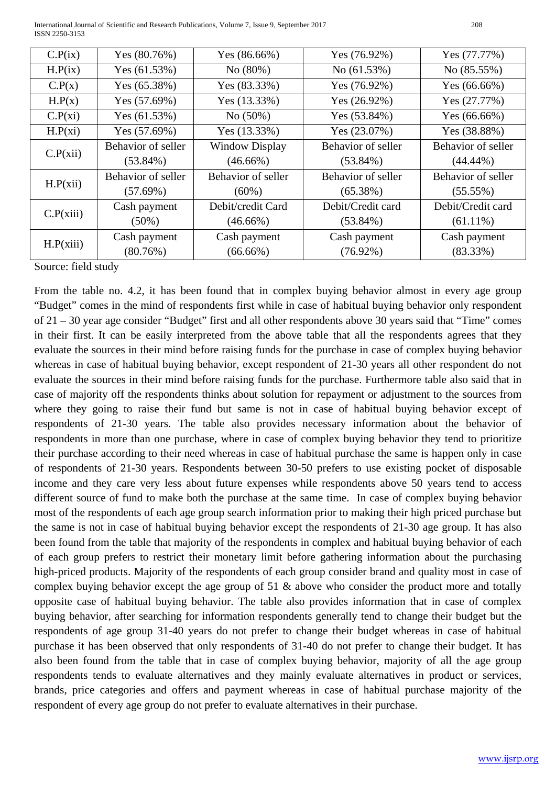International Journal of Scientific and Research Publications, Volume 7, Issue 9, September 2017 208 ISSN 2250-3153

| C.P(ix)   | Yes $(80.76%)$     | Yes $(86.66\%)$       | Yes $(76.92\%)$    | Yes $(77.77%)$     |
|-----------|--------------------|-----------------------|--------------------|--------------------|
| H.P(ix)   | Yes $(61.53%)$     | No (80%)              | No $(61.53%)$      | No $(85.55\%)$     |
| C.P(x)    | Yes $(65.38%)$     | Yes $(83.33%)$        | Yes $(76.92\%)$    | Yes $(66.66\%)$    |
| H.P(x)    | Yes $(57.69%)$     | Yes $(13.33%)$        | Yes $(26.92\%)$    | Yes $(27.77%)$     |
| C.P(xi)   | Yes $(61.53%)$     | No (50%)              | Yes $(53.84\%)$    | Yes $(66.66\%)$    |
| H.P(xi)   | Yes $(57.69%)$     | Yes $(13.33%)$        | Yes $(23.07%)$     | Yes $(38.88%)$     |
| C.P(xii)  | Behavior of seller | <b>Window Display</b> | Behavior of seller | Behavior of seller |
|           | $(53.84\%)$        | $(46.66\%)$           | $(53.84\%)$        | $(44.44\%)$        |
| H.P(xii)  | Behavior of seller | Behavior of seller    | Behavior of seller | Behavior of seller |
|           | (57.69%)           | $(60\%)$              | $(65.38\%)$        | (55.55%)           |
| C.P(xiii) | Cash payment       | Debit/credit Card     | Debit/Credit card  | Debit/Credit card  |
|           | $(50\%)$           | $(46.66\%)$           | $(53.84\%)$        | $(61.11\%)$        |
| H.P(xiii) | Cash payment       | Cash payment          | Cash payment       | Cash payment       |
|           | (80.76%)           | $(66.66\%)$           | $(76.92\%)$        | $(83.33\%)$        |

Source: field study

From the table no. 4.2, it has been found that in complex buying behavior almost in every age group "Budget" comes in the mind of respondents first while in case of habitual buying behavior only respondent of 21 – 30 year age consider "Budget" first and all other respondents above 30 years said that "Time" comes in their first. It can be easily interpreted from the above table that all the respondents agrees that they evaluate the sources in their mind before raising funds for the purchase in case of complex buying behavior whereas in case of habitual buying behavior, except respondent of 21-30 years all other respondent do not evaluate the sources in their mind before raising funds for the purchase. Furthermore table also said that in case of majority off the respondents thinks about solution for repayment or adjustment to the sources from where they going to raise their fund but same is not in case of habitual buying behavior except of respondents of 21-30 years. The table also provides necessary information about the behavior of respondents in more than one purchase, where in case of complex buying behavior they tend to prioritize their purchase according to their need whereas in case of habitual purchase the same is happen only in case of respondents of 21-30 years. Respondents between 30-50 prefers to use existing pocket of disposable income and they care very less about future expenses while respondents above 50 years tend to access different source of fund to make both the purchase at the same time. In case of complex buying behavior most of the respondents of each age group search information prior to making their high priced purchase but the same is not in case of habitual buying behavior except the respondents of 21-30 age group. It has also been found from the table that majority of the respondents in complex and habitual buying behavior of each of each group prefers to restrict their monetary limit before gathering information about the purchasing high-priced products. Majority of the respondents of each group consider brand and quality most in case of complex buying behavior except the age group of 51 & above who consider the product more and totally opposite case of habitual buying behavior. The table also provides information that in case of complex buying behavior, after searching for information respondents generally tend to change their budget but the respondents of age group 31-40 years do not prefer to change their budget whereas in case of habitual purchase it has been observed that only respondents of 31-40 do not prefer to change their budget. It has also been found from the table that in case of complex buying behavior, majority of all the age group respondents tends to evaluate alternatives and they mainly evaluate alternatives in product or services, brands, price categories and offers and payment whereas in case of habitual purchase majority of the respondent of every age group do not prefer to evaluate alternatives in their purchase.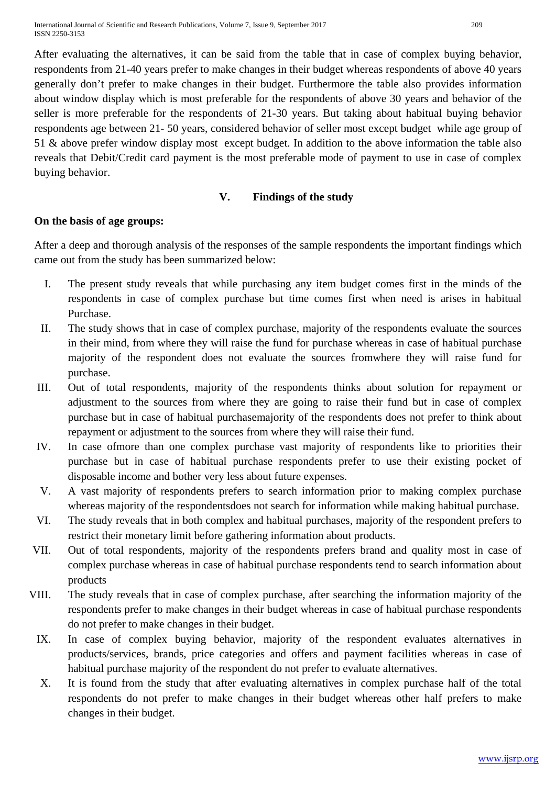After evaluating the alternatives, it can be said from the table that in case of complex buying behavior, respondents from 21-40 years prefer to make changes in their budget whereas respondents of above 40 years generally don't prefer to make changes in their budget. Furthermore the table also provides information about window display which is most preferable for the respondents of above 30 years and behavior of the seller is more preferable for the respondents of 21-30 years. But taking about habitual buying behavior respondents age between 21- 50 years, considered behavior of seller most except budget while age group of 51 & above prefer window display most except budget. In addition to the above information the table also reveals that Debit/Credit card payment is the most preferable mode of payment to use in case of complex buying behavior.

#### **V. Findings of the study**

#### **On the basis of age groups:**

After a deep and thorough analysis of the responses of the sample respondents the important findings which came out from the study has been summarized below:

- I. The present study reveals that while purchasing any item budget comes first in the minds of the respondents in case of complex purchase but time comes first when need is arises in habitual Purchase.
- II. The study shows that in case of complex purchase, majority of the respondents evaluate the sources in their mind, from where they will raise the fund for purchase whereas in case of habitual purchase majority of the respondent does not evaluate the sources fromwhere they will raise fund for purchase.
- III. Out of total respondents, majority of the respondents thinks about solution for repayment or adjustment to the sources from where they are going to raise their fund but in case of complex purchase but in case of habitual purchasemajority of the respondents does not prefer to think about repayment or adjustment to the sources from where they will raise their fund.
- IV. In case ofmore than one complex purchase vast majority of respondents like to priorities their purchase but in case of habitual purchase respondents prefer to use their existing pocket of disposable income and bother very less about future expenses.
- V. A vast majority of respondents prefers to search information prior to making complex purchase whereas majority of the respondentsdoes not search for information while making habitual purchase.
- VI. The study reveals that in both complex and habitual purchases, majority of the respondent prefers to restrict their monetary limit before gathering information about products.
- VII. Out of total respondents, majority of the respondents prefers brand and quality most in case of complex purchase whereas in case of habitual purchase respondents tend to search information about products
- VIII. The study reveals that in case of complex purchase, after searching the information majority of the respondents prefer to make changes in their budget whereas in case of habitual purchase respondents do not prefer to make changes in their budget.
	- IX. In case of complex buying behavior, majority of the respondent evaluates alternatives in products/services, brands, price categories and offers and payment facilities whereas in case of habitual purchase majority of the respondent do not prefer to evaluate alternatives.
	- X. It is found from the study that after evaluating alternatives in complex purchase half of the total respondents do not prefer to make changes in their budget whereas other half prefers to make changes in their budget.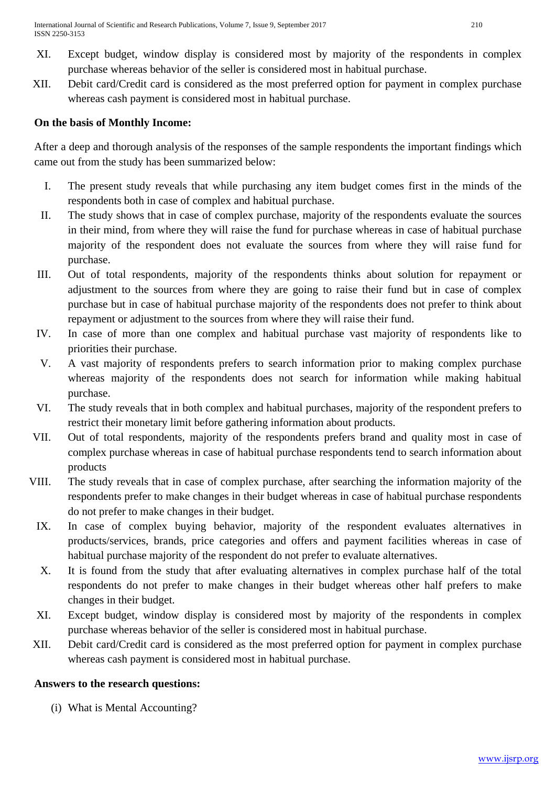- XI. Except budget, window display is considered most by majority of the respondents in complex purchase whereas behavior of the seller is considered most in habitual purchase.
- XII. Debit card/Credit card is considered as the most preferred option for payment in complex purchase whereas cash payment is considered most in habitual purchase.

## **On the basis of Monthly Income:**

After a deep and thorough analysis of the responses of the sample respondents the important findings which came out from the study has been summarized below:

- I. The present study reveals that while purchasing any item budget comes first in the minds of the respondents both in case of complex and habitual purchase.
- II. The study shows that in case of complex purchase, majority of the respondents evaluate the sources in their mind, from where they will raise the fund for purchase whereas in case of habitual purchase majority of the respondent does not evaluate the sources from where they will raise fund for purchase.
- III. Out of total respondents, majority of the respondents thinks about solution for repayment or adjustment to the sources from where they are going to raise their fund but in case of complex purchase but in case of habitual purchase majority of the respondents does not prefer to think about repayment or adjustment to the sources from where they will raise their fund.
- IV. In case of more than one complex and habitual purchase vast majority of respondents like to priorities their purchase.
- V. A vast majority of respondents prefers to search information prior to making complex purchase whereas majority of the respondents does not search for information while making habitual purchase.
- VI. The study reveals that in both complex and habitual purchases, majority of the respondent prefers to restrict their monetary limit before gathering information about products.
- VII. Out of total respondents, majority of the respondents prefers brand and quality most in case of complex purchase whereas in case of habitual purchase respondents tend to search information about products
- VIII. The study reveals that in case of complex purchase, after searching the information majority of the respondents prefer to make changes in their budget whereas in case of habitual purchase respondents do not prefer to make changes in their budget.
	- IX. In case of complex buying behavior, majority of the respondent evaluates alternatives in products/services, brands, price categories and offers and payment facilities whereas in case of habitual purchase majority of the respondent do not prefer to evaluate alternatives.
	- X. It is found from the study that after evaluating alternatives in complex purchase half of the total respondents do not prefer to make changes in their budget whereas other half prefers to make changes in their budget.
	- XI. Except budget, window display is considered most by majority of the respondents in complex purchase whereas behavior of the seller is considered most in habitual purchase.
- XII. Debit card/Credit card is considered as the most preferred option for payment in complex purchase whereas cash payment is considered most in habitual purchase.

## **Answers to the research questions:**

(i) What is Mental Accounting?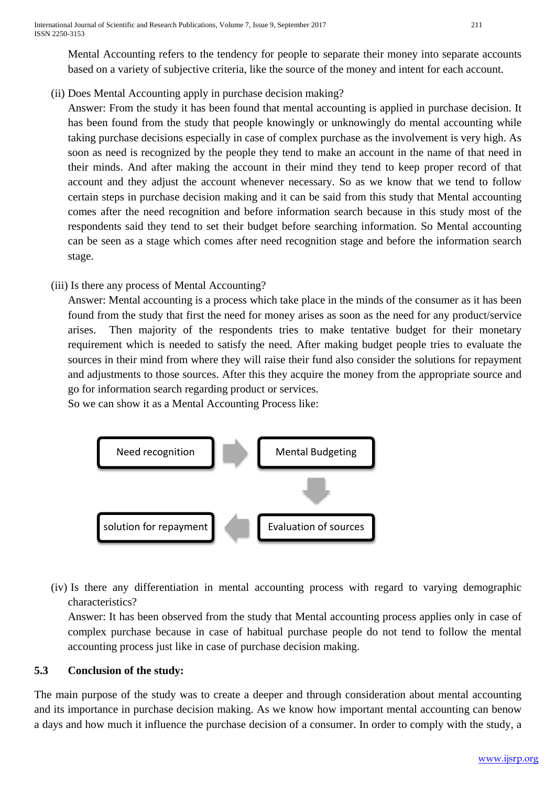Mental Accounting refers to the tendency for people to separate their money into separate accounts based on a variety of subjective criteria, like the source of the money and intent for each account.

(ii) Does Mental Accounting apply in purchase decision making?

Answer: From the study it has been found that mental accounting is applied in purchase decision. It has been found from the study that people knowingly or unknowingly do mental accounting while taking purchase decisions especially in case of complex purchase as the involvement is very high. As soon as need is recognized by the people they tend to make an account in the name of that need in their minds. And after making the account in their mind they tend to keep proper record of that account and they adjust the account whenever necessary. So as we know that we tend to follow certain steps in purchase decision making and it can be said from this study that Mental accounting comes after the need recognition and before information search because in this study most of the respondents said they tend to set their budget before searching information. So Mental accounting can be seen as a stage which comes after need recognition stage and before the information search stage.

# (iii) Is there any process of Mental Accounting?

Answer: Mental accounting is a process which take place in the minds of the consumer as it has been found from the study that first the need for money arises as soon as the need for any product/service arises. Then majority of the respondents tries to make tentative budget for their monetary requirement which is needed to satisfy the need. After making budget people tries to evaluate the sources in their mind from where they will raise their fund also consider the solutions for repayment and adjustments to those sources. After this they acquire the money from the appropriate source and go for information search regarding product or services.

So we can show it as a Mental Accounting Process like:



(iv) Is there any differentiation in mental accounting process with regard to varying demographic characteristics?

Answer: It has been observed from the study that Mental accounting process applies only in case of complex purchase because in case of habitual purchase people do not tend to follow the mental accounting process just like in case of purchase decision making.

## **5.3 Conclusion of the study:**

The main purpose of the study was to create a deeper and through consideration about mental accounting and its importance in purchase decision making. As we know how important mental accounting can benow a days and how much it influence the purchase decision of a consumer. In order to comply with the study, a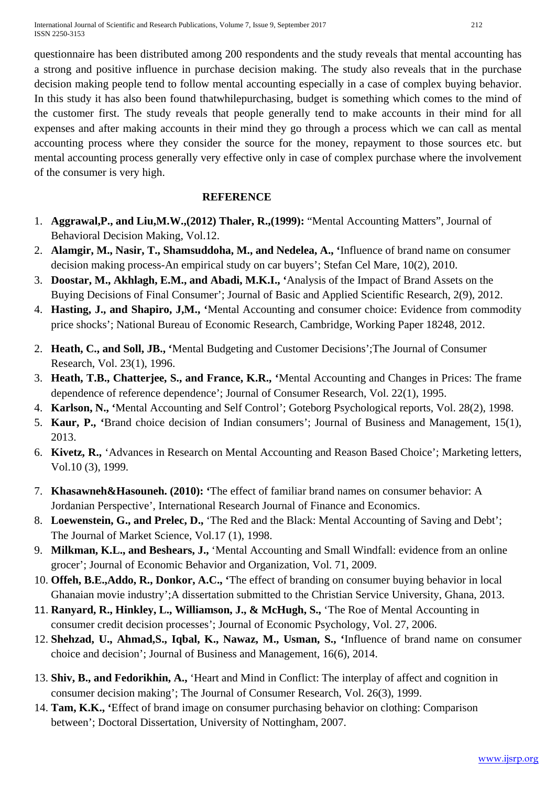questionnaire has been distributed among 200 respondents and the study reveals that mental accounting has a strong and positive influence in purchase decision making. The study also reveals that in the purchase decision making people tend to follow mental accounting especially in a case of complex buying behavior. In this study it has also been found thatwhilepurchasing, budget is something which comes to the mind of the customer first. The study reveals that people generally tend to make accounts in their mind for all expenses and after making accounts in their mind they go through a process which we can call as mental accounting process where they consider the source for the money, repayment to those sources etc. but mental accounting process generally very effective only in case of complex purchase where the involvement of the consumer is very high.

## **REFERENCE**

- 1. **Aggrawal,P., and Liu,M.W.,(2012) Thaler, R.,(1999):** "Mental Accounting Matters", Journal of Behavioral Decision Making, Vol.12.
- 2. **Alamgir, M., Nasir, T., Shamsuddoha, M., and Nedelea, A., '**Influence of brand name on consumer decision making process-An empirical study on car buyers'; Stefan Cel Mare, 10(2), 2010.
- 3. **Doostar, M., Akhlagh, E.M., and Abadi, M.K.I., '**Analysis of the Impact of Brand Assets on the Buying Decisions of Final Consumer'; Journal of Basic and Applied Scientific Research, 2(9), 2012.
- 4. **Hasting, J., and Shapiro, J,M., '**Mental Accounting and consumer choice: Evidence from commodity price shocks'; National Bureau of Economic Research, Cambridge, Working Paper 18248, 2012.
- 2. **Heath, C., and Soll, JB., '**Mental Budgeting and Customer Decisions';The Journal of Consumer Research, Vol. 23(1), 1996.
- 3. **Heath, T.B., Chatterjee, S., and France, K.R., '**Mental Accounting and Changes in Prices: The frame dependence of reference dependence'; Journal of Consumer Research, Vol. 22(1), 1995.
- 4. **Karlson, N., '**Mental Accounting and Self Control'; Goteborg Psychological reports, Vol. 28(2), 1998.
- 5. **Kaur, P., '**Brand choice decision of Indian consumers'; Journal of Business and Management, 15(1), 2013.
- 6. **Kivetz, R.,** 'Advances in Research on Mental Accounting and Reason Based Choice'; Marketing letters, Vol.10 (3), 1999.
- 7. **Khasawneh&Hasouneh. (2010): '**The effect of familiar brand names on consumer behavior: A Jordanian Perspective', International Research Journal of Finance and Economics.
- 8. **Loewenstein, G., and Prelec, D.,** 'The Red and the Black: Mental Accounting of Saving and Debt'; The Journal of Market Science, Vol.17 (1), 1998.
- 9. **Milkman, K.L., and Beshears, J.,** 'Mental Accounting and Small Windfall: evidence from an online grocer'; Journal of Economic Behavior and Organization, Vol. 71, 2009.
- 10. **Offeh, B.E.,Addo, R., Donkor, A.C., '**The effect of branding on consumer buying behavior in local Ghanaian movie industry';A dissertation submitted to the Christian Service University, Ghana, 2013.
- 11. **Ranyard, R., Hinkley, L., Williamson, J., & McHugh, S.,** 'The Roe of Mental Accounting in consumer credit decision processes'; Journal of Economic Psychology, Vol. 27, 2006.
- 12. **Shehzad, U., Ahmad,S., Iqbal, K., Nawaz, M., Usman, S., '**Influence of brand name on consumer choice and decision'; Journal of Business and Management, 16(6), 2014.
- 13. **Shiv, B., and Fedorikhin, A.,** 'Heart and Mind in Conflict: The interplay of affect and cognition in consumer decision making'; The Journal of Consumer Research, Vol. 26(3), 1999.
- 14. **Tam, K.K., '**Effect of brand image on consumer purchasing behavior on clothing: Comparison between'; Doctoral Dissertation, University of Nottingham, 2007.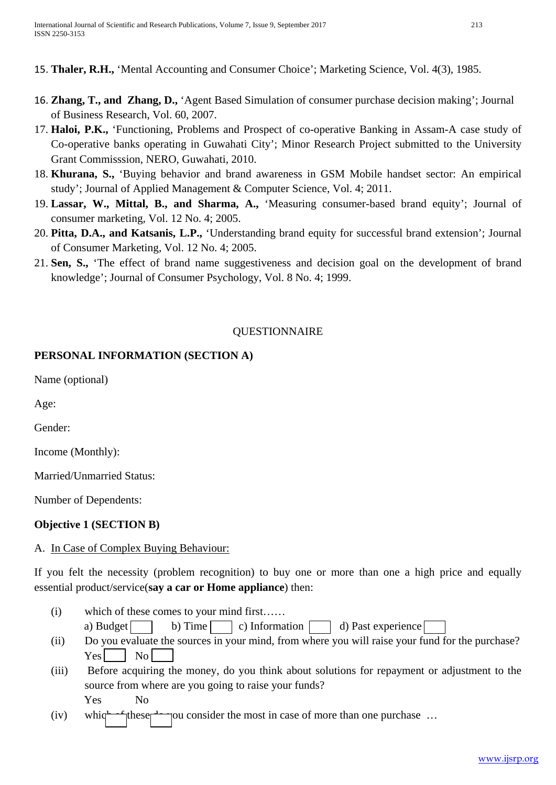- 15. **Thaler, R.H.,** 'Mental Accounting and Consumer Choice'; Marketing Science, Vol. 4(3), 1985.
- 16. **Zhang, T., and Zhang, D.,** 'Agent Based Simulation of consumer purchase decision making'; Journal of Business Research, Vol. 60, 2007.
- 17. **Haloi, P.K.,** 'Functioning, Problems and Prospect of co-operative Banking in Assam-A case study of Co-operative banks operating in Guwahati City'; Minor Research Project submitted to the University Grant Commisssion, NERO, Guwahati, 2010.
- 18. **Khurana, S.,** 'Buying behavior and brand awareness in GSM Mobile handset sector: An empirical study'; Journal of Applied Management & Computer Science, Vol. 4; 2011.
- 19. **Lassar, W., Mittal, B., and Sharma, A.,** 'Measuring consumer-based brand equity'; Journal of consumer marketing, Vol. 12 No. 4; 2005.
- 20. **Pitta, D.A., and Katsanis, L.P.,** 'Understanding brand equity for successful brand extension'; Journal of Consumer Marketing, Vol. 12 No. 4; 2005.
- 21. **Sen, S.,** 'The effect of brand name suggestiveness and decision goal on the development of brand knowledge'; Journal of Consumer Psychology, Vol. 8 No. 4; 1999.

# QUESTIONNAIRE

# **PERSONAL INFORMATION (SECTION A)**

Name (optional)

Age:

Gender:

Income (Monthly):

Married/Unmarried Status:

Number of Dependents:

## **Objective 1 (SECTION B)**

## A. In Case of Complex Buying Behaviour:

If you felt the necessity (problem recognition) to buy one or more than one a high price and equally essential product/service(**say a car or Home appliance**) then:

(i) which of these comes to your mind first……

a) Budget b) Time c) Information d) Past experience

- (ii) Do you evaluate the sources in your mind, from where you will raise your fund for the purchase?  $Yes$   $|$  No
- (iii) Before acquiring the money, do you think about solutions for repayment or adjustment to the source from where are you going to raise your funds? Yes No
- (iv) which of these do you consider the most in case of more than one purchase  $\dots$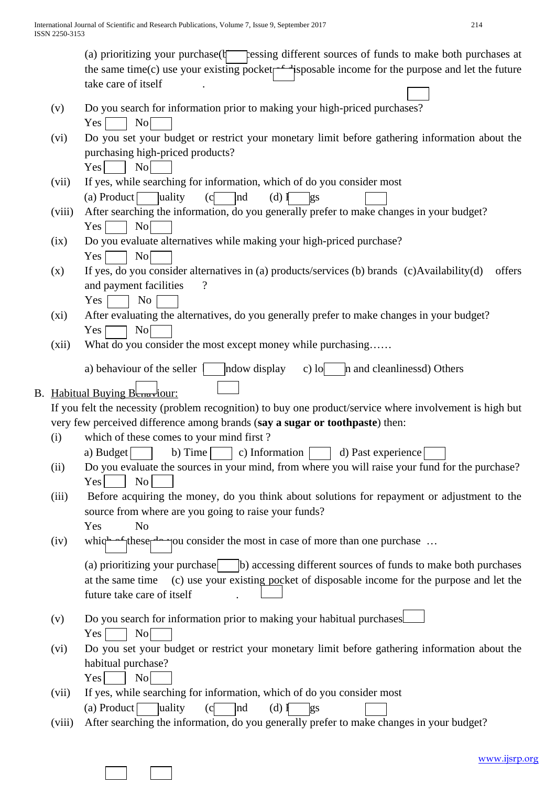$\lceil$ 

|         | (a) prioritizing your purchase( $\frac{1}{2}$ ressing different sources of funds to make both purchases at<br>the same time(c) use your existing pocket is essentially is possible income for the purpose and let the future<br>take care of itself |
|---------|-----------------------------------------------------------------------------------------------------------------------------------------------------------------------------------------------------------------------------------------------------|
| (v)     | Do you search for information prior to making your high-priced purchases?                                                                                                                                                                           |
|         | N <sub>0</sub><br>Yes                                                                                                                                                                                                                               |
| (vi)    | Do you set your budget or restrict your monetary limit before gathering information about the                                                                                                                                                       |
|         | purchasing high-priced products?                                                                                                                                                                                                                    |
|         | Yes<br>No                                                                                                                                                                                                                                           |
| (vii)   | If yes, while searching for information, which of do you consider most<br>(a) Product $\lceil$<br>uality<br>(c)<br><sub>Ind</sub><br>$(d)$ $\mathbf{I}$<br>gs                                                                                       |
| (viii)  | After searching the information, do you generally prefer to make changes in your budget?                                                                                                                                                            |
|         | No<br>Yes                                                                                                                                                                                                                                           |
| (ix)    | Do you evaluate alternatives while making your high-priced purchase?                                                                                                                                                                                |
|         | Yes<br>N <sub>o</sub>                                                                                                                                                                                                                               |
| (x)     | If yes, do you consider alternatives in (a) products/services (b) brands (c)Availability(d)<br>offers<br>$\overline{\mathcal{L}}$                                                                                                                   |
|         | and payment facilities<br>N <sub>o</sub><br>Yes                                                                                                                                                                                                     |
| $(x_i)$ | After evaluating the alternatives, do you generally prefer to make changes in your budget?                                                                                                                                                          |
|         | N <sub>o</sub><br>Yes                                                                                                                                                                                                                               |
| (xii)   | What do you consider the most except money while purchasing                                                                                                                                                                                         |
|         | a) behaviour of the seller $\vert$<br>ndow display<br>$c)$ lo<br>in and cleanlinessd) Others                                                                                                                                                        |
|         | B. Habitual Buying Blarit Bloom                                                                                                                                                                                                                     |
|         | If you felt the necessity (problem recognition) to buy one product/service where involvement is high but                                                                                                                                            |
|         | very few perceived difference among brands (say a sugar or toothpaste) then:                                                                                                                                                                        |
| (i)     | which of these comes to your mind first?                                                                                                                                                                                                            |
|         | b) Time $\vert$<br>a) Budget<br>d) Past experience<br>c) Information                                                                                                                                                                                |
| (ii)    | Do you evaluate the sources in your mind, from where you will raise your fund for the purchase?<br>No<br>Yes                                                                                                                                        |
| (iii)   | Before acquiring the money, do you think about solutions for repayment or adjustment to the                                                                                                                                                         |
|         | source from where are you going to raise your funds?                                                                                                                                                                                                |
|         | N <sub>0</sub><br>Yes                                                                                                                                                                                                                               |
| (iv)    | you consider the most in case of more than one purchase<br>which $\frac{1}{2}$ these                                                                                                                                                                |
|         | (a) prioritizing your purchase b) accessing different sources of funds to make both purchases                                                                                                                                                       |
|         | (c) use your existing pocket of disposable income for the purpose and let the<br>at the same time                                                                                                                                                   |
|         |                                                                                                                                                                                                                                                     |
|         | future take care of itself                                                                                                                                                                                                                          |
| (v)     | Do you search for information prior to making your habitual purchases                                                                                                                                                                               |
|         | N <sub>o</sub><br>Yes                                                                                                                                                                                                                               |
| (vi)    | Do you set your budget or restrict your monetary limit before gathering information about the                                                                                                                                                       |
|         | habitual purchase?<br>No<br>Yes                                                                                                                                                                                                                     |
| (vii)   | If yes, while searching for information, which of do you consider most                                                                                                                                                                              |
|         | (a) Product $\lceil$<br>uality<br>$(d)$ $\mathbf{I}$<br>Ind<br>(c <sub>1</sub> )<br>gs                                                                                                                                                              |
| (viii)  | After searching the information, do you generally prefer to make changes in your budget?                                                                                                                                                            |